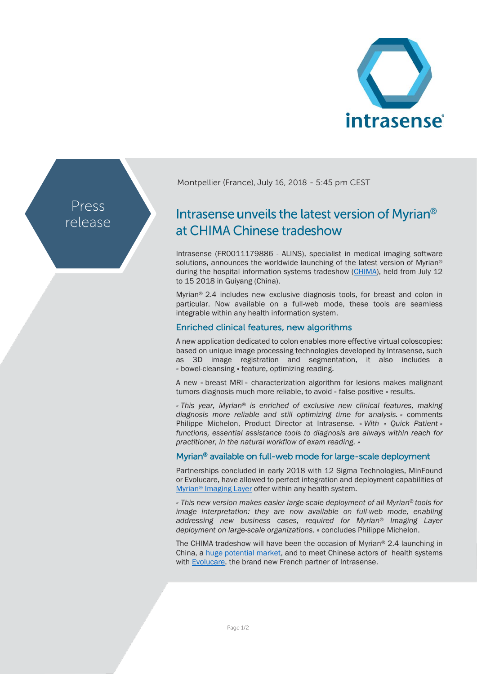

Press release Montpellier (France), July 16, 2018 - 5:45 pm CEST

# Intrasense unveils the latest version of Myrian<sup>®</sup> at CHIMA Chinese tradeshow

Intrasense (FR0011179886 - ALINS), specialist in medical imaging software solutions, announces the worldwide launching of the latest version of Myrian<sup>®</sup> during the hospital information systems tradeshow [\(CHIMA\)](http://2018.chima.org.cn/), held from July 12 to 15 2018 in Guiyang (China).

Myrian<sup>®</sup> 2.4 includes new exclusive diagnosis tools, for breast and colon in particular. Now available on a full-web mode, these tools are seamless integrable within any health information system.

# Enriched clinical features, new algorithms

A new application dedicated to colon enables more effective virtual coloscopies: based on unique image processing technologies developed by Intrasense, such as 3D image registration and segmentation, it also includes a « bowel-cleansing » feature, optimizing reading.

A new « breast MRI » characterization algorithm for lesions makes malignant tumors diagnosis much more reliable, to avoid « false-positive » results.

*« This year, Myrian® is enriched of exclusive new clinical features, making diagnosis more reliable and still optimizing time for analysis. »* comments Philippe Michelon, Product Director at Intrasense. « *With « Quick Patient » functions, essential assistance tools to diagnosis are always within reach for practitioner, in the natural workflow of exam reading. »*

### Myrian® available on full-web mode for large-scale deployment

Partnerships concluded in early 2018 with 12 Sigma Technologies, MinFound or Evolucare, have allowed to perfect integration and deployment capabilities of Myrian*®* [Imaging Layer](http://www.intrasense.fr/myrian-imaging-layer/) offer within any health system.

*« This new version makes easier large-scale deployment of all Myrian® tools for image interpretation: they are now available on full-web mode, enabling addressing new business cases, required for Myrian® Imaging Layer deployment on large-scale organizations.* » concludes Philippe Michelon.

The CHIMA tradeshow will have been the occasion of Myrian® 2.4 launching in China, a [huge potential market,](http://www.intrasense.fr/wp-content/uploads/2017/10/PR_Intrasense_23102017_China.pdf) and to meet Chinese actors of health systems with [Evolucare,](http://www.intrasense.fr/wp-content/uploads/2018/06/PR_Intrasense_Evolucare_04062018.pdf) the brand new French partner of Intrasense.